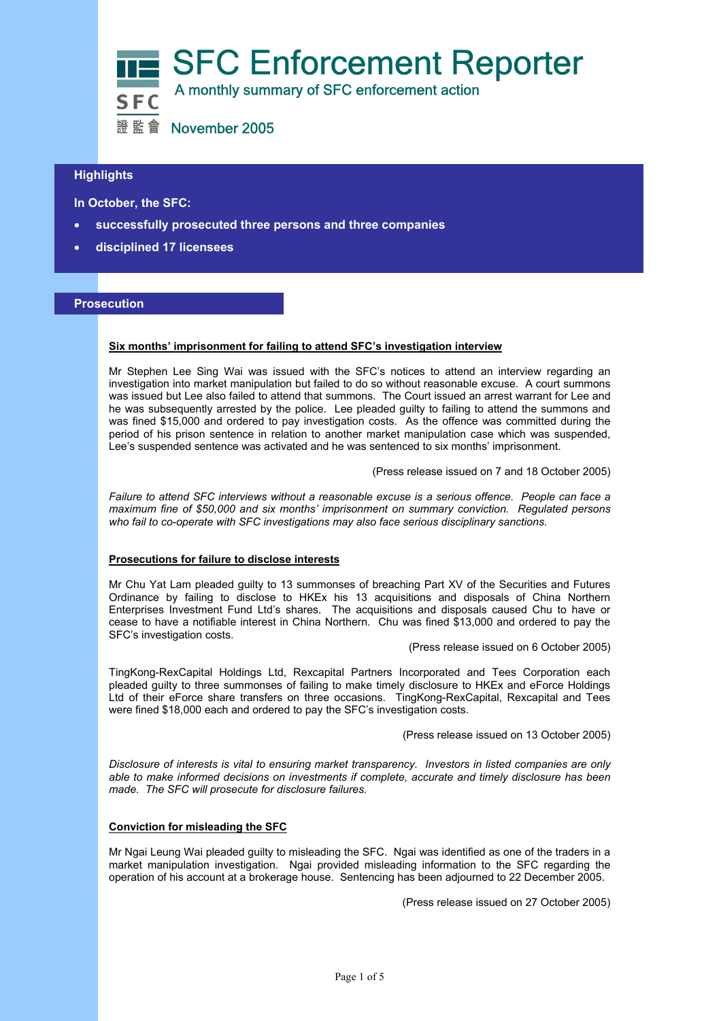

# $\overline{a}$ **Highlights**

 **In October, the SFC:** 

- **successfully prosecuted three persons and three companies**
- **disciplined 17 licensees**

## **Prosecution**

#### **Six months' imprisonment for failing to attend SFC's investigation interview**

Mr Stephen Lee Sing Wai was issued with the SFC's notices to attend an interview regarding an investigation into market manipulation but failed to do so without reasonable excuse. A court summons was issued but Lee also failed to attend that summons. The Court issued an arrest warrant for Lee and he was subsequently arrested by the police. Lee pleaded guilty to failing to attend the summons and was fined \$15,000 and ordered to pay investigation costs. As the offence was committed during the period of his prison sentence in relation to another market manipulation case which was suspended, Lee's suspended sentence was activated and he was sentenced to six months' imprisonment.

(Press release issued on 7 and 18 October 2005)

*Failure to attend SFC interviews without a reasonable excuse is a serious offence. People can face a maximum fine of \$50,000 and six months' imprisonment on summary conviction. Regulated persons who fail to co-operate with SFC investigations may also face serious disciplinary sanctions.* 

#### **Prosecutions for failure to disclose interests**

Mr Chu Yat Lam pleaded guilty to 13 summonses of breaching Part XV of the Securities and Futures Ordinance by failing to disclose to HKEx his 13 acquisitions and disposals of China Northern Enterprises Investment Fund Ltd's shares. The acquisitions and disposals caused Chu to have or cease to have a notifiable interest in China Northern. Chu was fined \$13,000 and ordered to pay the SFC's investigation costs.

(Press release issued on 6 October 2005)

TingKong-RexCapital Holdings Ltd, Rexcapital Partners Incorporated and Tees Corporation each pleaded guilty to three summonses of failing to make timely disclosure to HKEx and eForce Holdings Ltd of their eForce share transfers on three occasions. TingKong-RexCapital, Rexcapital and Tees were fined \$18,000 each and ordered to pay the SFC's investigation costs.

(Press release issued on 13 October 2005)

*Disclosure of interests is vital to ensuring market transparency. Investors in listed companies are only able to make informed decisions on investments if complete, accurate and timely disclosure has been made. The SFC will prosecute for disclosure failures.* 

## **Conviction for misleading the SFC**

Mr Ngai Leung Wai pleaded guilty to misleading the SFC. Ngai was identified as one of the traders in a market manipulation investigation. Ngai provided misleading information to the SFC regarding the operation of his account at a brokerage house. Sentencing has been adjourned to 22 December 2005.

(Press release issued on 27 October 2005)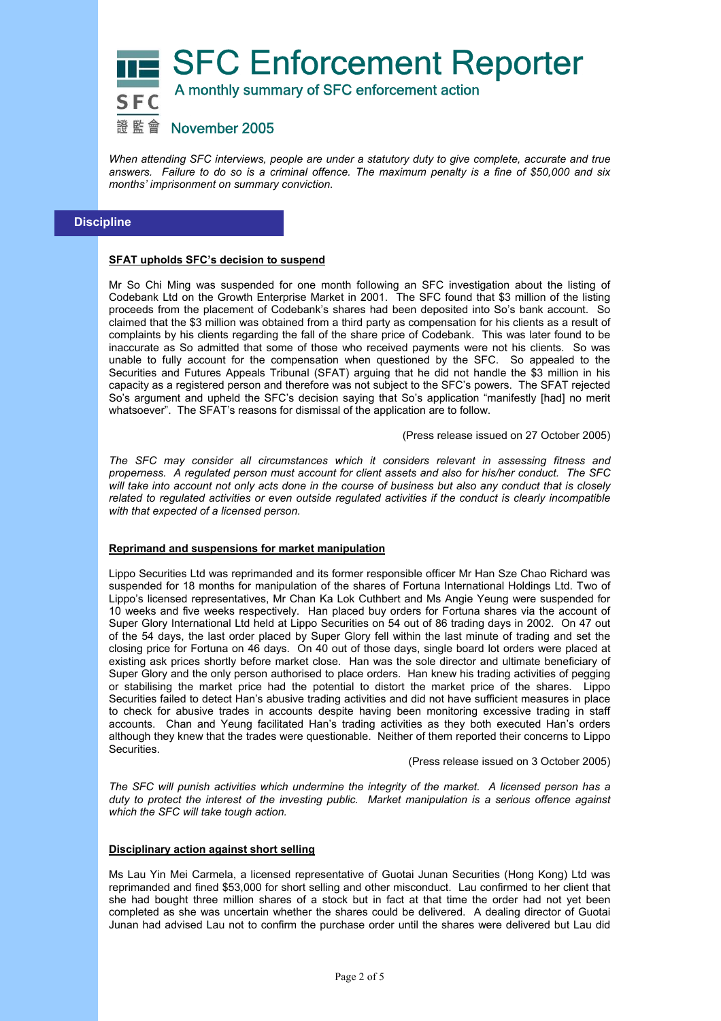

證監會 November 2005

*When attending SFC interviews, people are under a statutory duty to give complete, accurate and true answers. Failure to do so is a criminal offence. The maximum penalty is a fine of \$50,000 and six months' imprisonment on summary conviction.*

# **Discipline**

## **SFAT upholds SFC's decision to suspend**

Mr So Chi Ming was suspended for one month following an SFC investigation about the listing of Codebank Ltd on the Growth Enterprise Market in 2001. The SFC found that \$3 million of the listing proceeds from the placement of Codebank's shares had been deposited into So's bank account. So claimed that the \$3 million was obtained from a third party as compensation for his clients as a result of complaints by his clients regarding the fall of the share price of Codebank. This was later found to be inaccurate as So admitted that some of those who received payments were not his clients. So was unable to fully account for the compensation when questioned by the SFC. So appealed to the Securities and Futures Appeals Tribunal (SFAT) arguing that he did not handle the \$3 million in his capacity as a registered person and therefore was not subject to the SFC's powers. The SFAT rejected So's argument and upheld the SFC's decision saying that So's application "manifestly [had] no merit whatsoever". The SFAT's reasons for dismissal of the application are to follow.

(Press release issued on 27 October 2005)

*The SFC may consider all circumstances which it considers relevant in assessing fitness and properness. A regulated person must account for client assets and also for his/her conduct. The SFC will take into account not only acts done in the course of business but also any conduct that is closely related to regulated activities or even outside regulated activities if the conduct is clearly incompatible with that expected of a licensed person.*

#### **Reprimand and suspensions for market manipulation**

Lippo Securities Ltd was reprimanded and its former responsible officer Mr Han Sze Chao Richard was suspended for 18 months for manipulation of the shares of Fortuna International Holdings Ltd. Two of Lippo's licensed representatives, Mr Chan Ka Lok Cuthbert and Ms Angie Yeung were suspended for 10 weeks and five weeks respectively. Han placed buy orders for Fortuna shares via the account of Super Glory International Ltd held at Lippo Securities on 54 out of 86 trading days in 2002. On 47 out of the 54 days, the last order placed by Super Glory fell within the last minute of trading and set the closing price for Fortuna on 46 days. On 40 out of those days, single board lot orders were placed at existing ask prices shortly before market close. Han was the sole director and ultimate beneficiary of Super Glory and the only person authorised to place orders. Han knew his trading activities of pegging or stabilising the market price had the potential to distort the market price of the shares. Lippo Securities failed to detect Han's abusive trading activities and did not have sufficient measures in place to check for abusive trades in accounts despite having been monitoring excessive trading in staff accounts. Chan and Yeung facilitated Han's trading activities as they both executed Han's orders although they knew that the trades were questionable. Neither of them reported their concerns to Lippo **Securities** 

(Press release issued on 3 October 2005)

*The SFC will punish activities which undermine the integrity of the market. A licensed person has a duty to protect the interest of the investing public. Market manipulation is a serious offence against which the SFC will take tough action.* 

#### **Disciplinary action against short selling**

Ms Lau Yin Mei Carmela, a licensed representative of Guotai Junan Securities (Hong Kong) Ltd was reprimanded and fined \$53,000 for short selling and other misconduct. Lau confirmed to her client that she had bought three million shares of a stock but in fact at that time the order had not yet been completed as she was uncertain whether the shares could be delivered. A dealing director of Guotai Junan had advised Lau not to confirm the purchase order until the shares were delivered but Lau did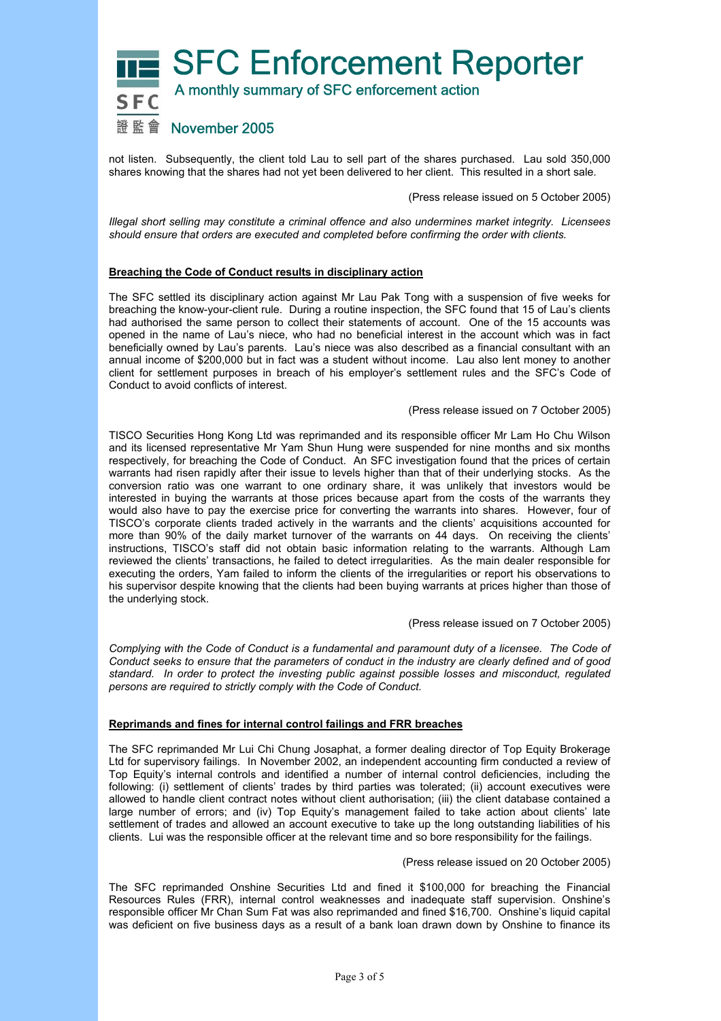

not listen. Subsequently, the client told Lau to sell part of the shares purchased. Lau sold 350,000 shares knowing that the shares had not yet been delivered to her client. This resulted in a short sale.

(Press release issued on 5 October 2005)

*Illegal short selling may constitute a criminal offence and also undermines market integrity. Licensees should ensure that orders are executed and completed before confirming the order with clients.* 

## **Breaching the Code of Conduct results in disciplinary action**

The SFC settled its disciplinary action against Mr Lau Pak Tong with a suspension of five weeks for breaching the know-your-client rule. During a routine inspection, the SFC found that 15 of Lau's clients had authorised the same person to collect their statements of account. One of the 15 accounts was opened in the name of Lau's niece, who had no beneficial interest in the account which was in fact beneficially owned by Lau's parents. Lau's niece was also described as a financial consultant with an annual income of \$200,000 but in fact was a student without income. Lau also lent money to another client for settlement purposes in breach of his employer's settlement rules and the SFC's Code of Conduct to avoid conflicts of interest.

(Press release issued on 7 October 2005)

TISCO Securities Hong Kong Ltd was reprimanded and its responsible officer Mr Lam Ho Chu Wilson and its licensed representative Mr Yam Shun Hung were suspended for nine months and six months respectively, for breaching the Code of Conduct. An SFC investigation found that the prices of certain warrants had risen rapidly after their issue to levels higher than that of their underlying stocks. As the conversion ratio was one warrant to one ordinary share, it was unlikely that investors would be interested in buying the warrants at those prices because apart from the costs of the warrants they would also have to pay the exercise price for converting the warrants into shares. However, four of TISCO's corporate clients traded actively in the warrants and the clients' acquisitions accounted for more than 90% of the daily market turnover of the warrants on 44 days. On receiving the clients' instructions, TISCO's staff did not obtain basic information relating to the warrants. Although Lam reviewed the clients' transactions, he failed to detect irregularities. As the main dealer responsible for executing the orders, Yam failed to inform the clients of the irregularities or report his observations to his supervisor despite knowing that the clients had been buying warrants at prices higher than those of the underlying stock.

(Press release issued on 7 October 2005)

*Complying with the Code of Conduct is a fundamental and paramount duty of a licensee. The Code of Conduct seeks to ensure that the parameters of conduct in the industry are clearly defined and of good standard. In order to protect the investing public against possible losses and misconduct, regulated persons are required to strictly comply with the Code of Conduct.* 

## **Reprimands and fines for internal control failings and FRR breaches**

The SFC reprimanded Mr Lui Chi Chung Josaphat, a former dealing director of Top Equity Brokerage Ltd for supervisory failings. In November 2002, an independent accounting firm conducted a review of Top Equity's internal controls and identified a number of internal control deficiencies, including the following: (i) settlement of clients' trades by third parties was tolerated; (ii) account executives were allowed to handle client contract notes without client authorisation; (iii) the client database contained a large number of errors; and (iv) Top Equity's management failed to take action about clients' late settlement of trades and allowed an account executive to take up the long outstanding liabilities of his clients. Lui was the responsible officer at the relevant time and so bore responsibility for the failings.

(Press release issued on 20 October 2005)

The SFC reprimanded Onshine Securities Ltd and fined it \$100,000 for breaching the Financial Resources Rules (FRR), internal control weaknesses and inadequate staff supervision. Onshine's responsible officer Mr Chan Sum Fat was also reprimanded and fined \$16,700. Onshine's liquid capital was deficient on five business days as a result of a bank loan drawn down by Onshine to finance its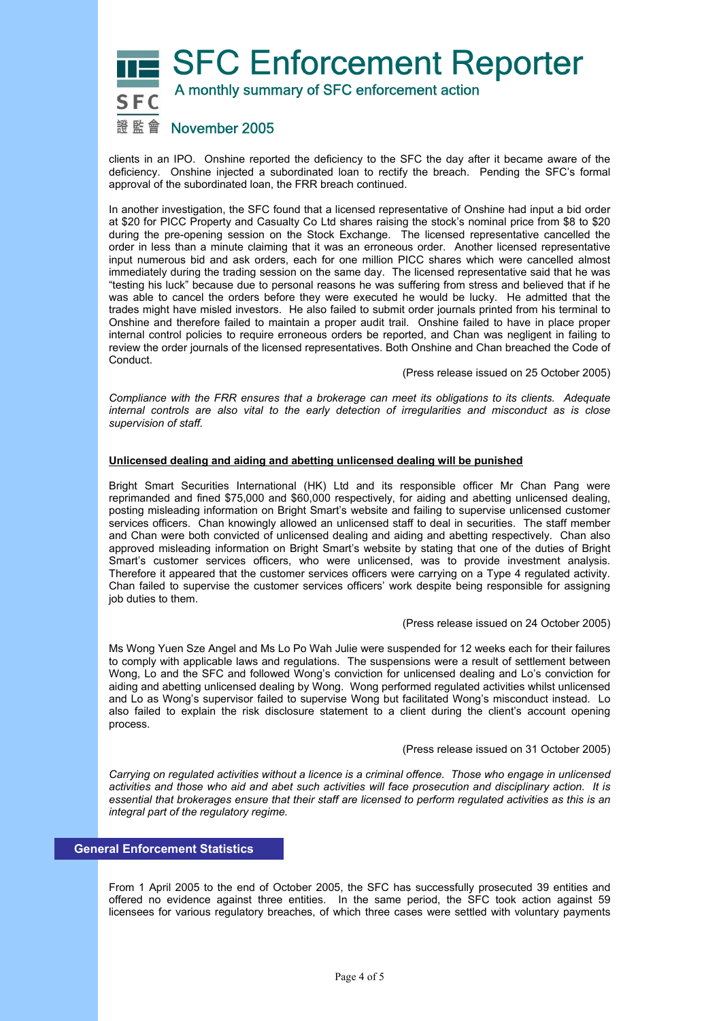# SFC Enforcement Reporter A monthly summary of SFC enforcement action 證監會 November 2005

clients in an IPO. Onshine reported the deficiency to the SFC the day after it became aware of the deficiency. Onshine injected a subordinated loan to rectify the breach. Pending the SFC's formal approval of the subordinated loan, the FRR breach continued.

In another investigation, the SFC found that a licensed representative of Onshine had input a bid order at \$20 for PICC Property and Casualty Co Ltd shares raising the stock's nominal price from \$8 to \$20 during the pre-opening session on the Stock Exchange. The licensed representative cancelled the order in less than a minute claiming that it was an erroneous order. Another licensed representative input numerous bid and ask orders, each for one million PICC shares which were cancelled almost immediately during the trading session on the same day. The licensed representative said that he was "testing his luck" because due to personal reasons he was suffering from stress and believed that if he was able to cancel the orders before they were executed he would be lucky. He admitted that the trades might have misled investors. He also failed to submit order journals printed from his terminal to Onshine and therefore failed to maintain a proper audit trail. Onshine failed to have in place proper internal control policies to require erroneous orders be reported, and Chan was negligent in failing to review the order journals of the licensed representatives. Both Onshine and Chan breached the Code of Conduct.

(Press release issued on 25 October 2005)

*Compliance with the FRR ensures that a brokerage can meet its obligations to its clients. Adequate internal controls are also vital to the early detection of irregularities and misconduct as is close supervision of staff.* 

## **Unlicensed dealing and aiding and abetting unlicensed dealing will be punished**

Bright Smart Securities International (HK) Ltd and its responsible officer Mr Chan Pang were reprimanded and fined \$75,000 and \$60,000 respectively, for aiding and abetting unlicensed dealing, posting misleading information on Bright Smart's website and failing to supervise unlicensed customer services officers. Chan knowingly allowed an unlicensed staff to deal in securities. The staff member and Chan were both convicted of unlicensed dealing and aiding and abetting respectively. Chan also approved misleading information on Bright Smart's website by stating that one of the duties of Bright Smart's customer services officers, who were unlicensed, was to provide investment analysis. Therefore it appeared that the customer services officers were carrying on a Type 4 regulated activity. Chan failed to supervise the customer services officers' work despite being responsible for assigning job duties to them.

## (Press release issued on 24 October 2005)

Ms Wong Yuen Sze Angel and Ms Lo Po Wah Julie were suspended for 12 weeks each for their failures to comply with applicable laws and regulations. The suspensions were a result of settlement between Wong, Lo and the SFC and followed Wong's conviction for unlicensed dealing and Lo's conviction for aiding and abetting unlicensed dealing by Wong. Wong performed regulated activities whilst unlicensed and Lo as Wong's supervisor failed to supervise Wong but facilitated Wong's misconduct instead. Lo also failed to explain the risk disclosure statement to a client during the client's account opening process.

#### (Press release issued on 31 October 2005)

*Carrying on regulated activities without a licence is a criminal offence. Those who engage in unlicensed activities and those who aid and abet such activities will face prosecution and disciplinary action. It is essential that brokerages ensure that their staff are licensed to perform regulated activities as this is an integral part of the regulatory regime.* 

# **General Enforcement Statistics**

From 1 April 2005 to the end of October 2005, the SFC has successfully prosecuted 39 entities and offered no evidence against three entities. In the same period, the SFC took action against 59 licensees for various regulatory breaches, of which three cases were settled with voluntary payments